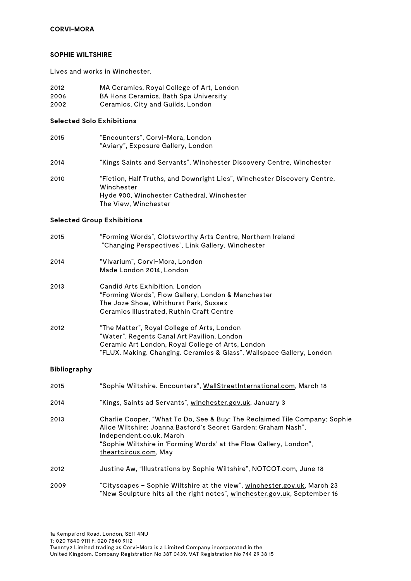#### **SOPHIE WILTSHIRE**

Lives and works in Winchester.

- 2012 MA Ceramics, Royal College of Art, London<br>2006 RA Hons Ceramics, Bath Spa University
- BA Hons Ceramics, Bath Spa University
- 2002 Ceramics, City and Guilds, London

## **Selected Solo Exhibitions**

| 2015 | "Encounters", Corvi-Mora, London<br>"Aviary", Exposure Gallery, London                                                                                       |
|------|--------------------------------------------------------------------------------------------------------------------------------------------------------------|
| 2014 | "Kings Saints and Servants", Winchester Discovery Centre, Winchester                                                                                         |
| 2010 | "Fiction, Half Truths, and Downright Lies", Winchester Discovery Centre,<br>Winchester<br>Hyde 900, Winchester Cathedral, Winchester<br>The View, Winchester |

### **Selected Group Exhibitions**

| 2015 | "Forming Words", Clotsworthy Arts Centre, Northern Ireland<br>"Changing Perspectives", Link Gallery, Winchester                                                                                                          |
|------|--------------------------------------------------------------------------------------------------------------------------------------------------------------------------------------------------------------------------|
| 2014 | "Vivarium", Corvi-Mora, London<br>Made London 2014, London                                                                                                                                                               |
| 2013 | Candid Arts Exhibition, London<br>"Forming Words", Flow Gallery, London & Manchester<br>The Joze Show, Whithurst Park, Sussex<br>Ceramics Illustrated, Ruthin Craft Centre                                               |
| 2012 | "The Matter", Royal College of Arts, London<br>"Water", Regents Canal Art Pavilion, London<br>Ceramic Art London, Royal College of Arts, London<br>"FLUX. Making. Changing. Ceramics & Glass", Wallspace Gallery, London |

### **Bibliography**

| 2015 | "Sophie Wiltshire. Encounters", WallStreetInternational.com, March 18                                                                                                                                                                                                   |
|------|-------------------------------------------------------------------------------------------------------------------------------------------------------------------------------------------------------------------------------------------------------------------------|
| 2014 | "Kings, Saints ad Servants", winchester.gov.uk, January 3                                                                                                                                                                                                               |
| 2013 | Charlie Cooper, "What To Do, See & Buy: The Reclaimed Tile Company; Sophie<br>Alice Wiltshire; Joanna Basford's Secret Garden; Graham Nash",<br>Independent.co.uk, March<br>"Sophie Wiltshire in 'Forming Words' at the Flow Gallery, London",<br>theartcircus.com, May |
| 2012 | Justine Aw, "Illustrations by Sophie Wiltshire", NOTCOT.com, June 18                                                                                                                                                                                                    |
| 2009 | "Cityscapes - Sophie Wiltshire at the view", winchester.gov.uk, March 23<br>"New Sculpture hits all the right notes", winchester.gov.uk, September 16                                                                                                                   |